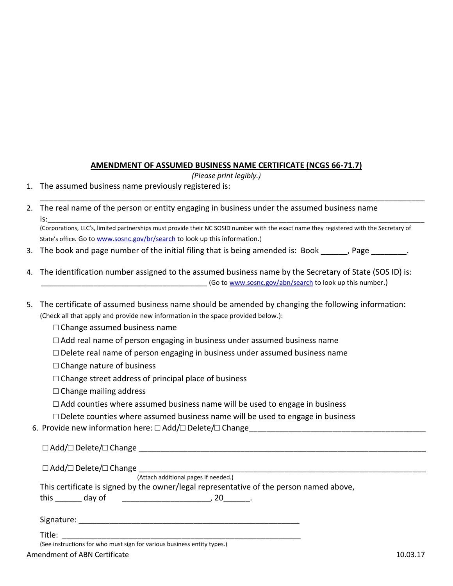## **AMENDMENT OF ASSUMED BUSINESS NAME CERTIFICATE (NCGS 66-71.7)**

*(Please print legibly.)*

- 1. The assumed business name previously registered is:
- 2. The real name of the person or entity engaging in business under the assumed business name is:\_\_\_\_\_\_\_\_\_\_\_\_\_\_\_\_\_\_\_\_\_\_\_\_\_\_\_\_\_\_\_\_\_\_\_\_\_\_\_\_\_\_\_\_\_\_\_\_\_\_\_\_\_\_\_\_\_\_\_\_\_\_\_\_\_\_\_\_\_\_\_\_\_\_\_\_\_\_\_\_\_\_\_\_\_\_\_\_\_\_\_\_\_

(Corporations, LLC's, limited partnerships must provide their NC SOSID number with the exact name they registered with the Secretary of State's office. Go to [www.sosnc.gov/br/search](https://www.sosnc.gov/br/search) to look up this information.)

\_\_\_\_\_\_\_\_\_\_\_\_\_\_\_\_\_\_\_\_\_\_\_\_\_\_\_\_\_\_\_\_\_\_\_\_\_\_\_\_\_\_\_\_\_\_\_\_\_\_\_\_\_\_\_\_\_\_\_\_\_\_\_\_\_\_\_\_\_\_\_\_\_\_\_\_\_\_\_\_\_\_\_\_\_\_\_

- 3. The book and page number of the initial filing that is being amended is: Book fage the same of the initial
- 4. The identification number assigned to the assumed business name by the Secretary of State (SOS ID) is: Go to [www.sosnc.gov/abn/search](http://www.sosnc.gov/abn/search) to look up this number.)
- 5. The certificate of assumed business name should be amended by changing the following information: (Check all that apply and provide new information in the space provided below.):
	- $\square$  Change assumed business name
	- $\Box$  Add real name of person engaging in business under assumed business name
	- $\square$  Delete real name of person engaging in business under assumed business name
	- $\Box$  Change nature of business
	- $\Box$  Change street address of principal place of business
	- $\Box$  Change mailing address
	- $\Box$  Add counties where assumed business name will be used to engage in business
	- $\square$  Delete counties where assumed business name will be used to engage in business
	- 6. Provide new information here: □ Add/□ Delete/□ Change

|              |                                                                         | $\Box$ Add/ $\Box$ Delete/ $\Box$ Change                                                |  |
|--------------|-------------------------------------------------------------------------|-----------------------------------------------------------------------------------------|--|
|              | $\Box$ Add/ $\Box$ Delete/ $\Box$ Change                                |                                                                                         |  |
|              |                                                                         | (Attach additional pages if needed.)                                                    |  |
|              |                                                                         | This certificate is signed by the owner/legal representative of the person named above, |  |
| this day of  |                                                                         | $, 20$ .                                                                                |  |
|              |                                                                         |                                                                                         |  |
| Title: Title |                                                                         |                                                                                         |  |
|              | (See instructions for who must sign for various business entity types.) |                                                                                         |  |